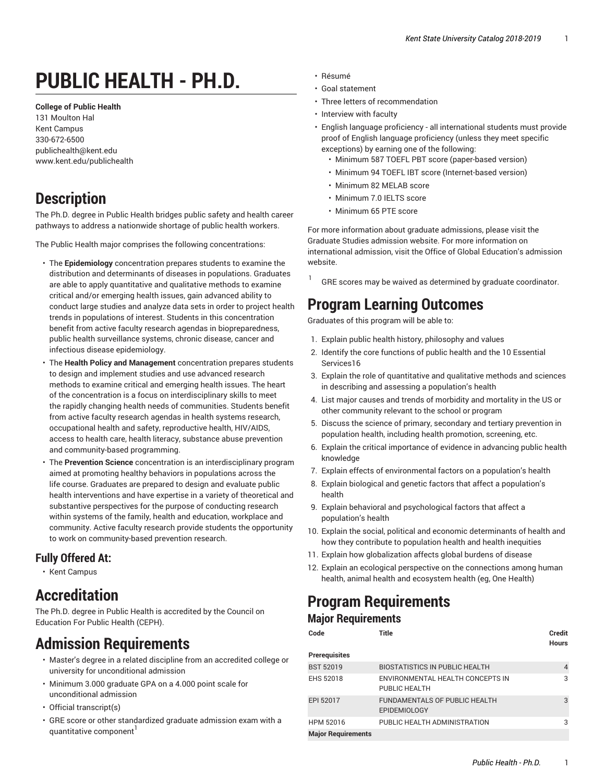# **PUBLIC HEALTH - PH.D.**

**College of Public Health**

131 Moulton Hal Kent Campus 330-672-6500 publichealth@kent.edu www.kent.edu/publichealth

# **Description**

The Ph.D. degree in Public Health bridges public safety and health career pathways to address a nationwide shortage of public health workers.

The Public Health major comprises the following concentrations:

- The **Epidemiology** concentration prepares students to examine the distribution and determinants of diseases in populations. Graduates are able to apply quantitative and qualitative methods to examine critical and/or emerging health issues, gain advanced ability to conduct large studies and analyze data sets in order to project health trends in populations of interest. Students in this concentration benefit from active faculty research agendas in biopreparedness, public health surveillance systems, chronic disease, cancer and infectious disease epidemiology.
- The **Health Policy and Management** concentration prepares students to design and implement studies and use advanced research methods to examine critical and emerging health issues. The heart of the concentration is a focus on interdisciplinary skills to meet the rapidly changing health needs of communities. Students benefit from active faculty research agendas in health systems research, occupational health and safety, reproductive health, HIV/AIDS, access to health care, health literacy, substance abuse prevention and community-based programming.
- The **Prevention Science** concentration is an interdisciplinary program aimed at promoting healthy behaviors in populations across the life course. Graduates are prepared to design and evaluate public health interventions and have expertise in a variety of theoretical and substantive perspectives for the purpose of conducting research within systems of the family, health and education, workplace and community. Active faculty research provide students the opportunity to work on community-based prevention research.

### **Fully Offered At:**

• Kent Campus

# **Accreditation**

The Ph.D. degree in Public Health is accredited by the Council on Education For Public Health (CEPH).

### **Admission Requirements**

- Master's degree in a related discipline from an accredited college or university for unconditional admission
- Minimum 3.000 graduate GPA on a 4.000 point scale for unconditional admission
- Official transcript(s)
- GRE score or other standardized graduate admission exam with a quantitative component
- Résumé
- Goal statement
- Three letters of recommendation
- Interview with faculty
- English language proficiency all international students must provide proof of English language proficiency (unless they meet specific exceptions) by earning one of the following:
	- Minimum 587 TOEFL PBT score (paper-based version)
	- Minimum 94 TOEFL IBT score (Internet-based version)
	- Minimum 82 MELAB score
	- Minimum 7.0 IELTS score
	- Minimum 65 PTE score

For more information about graduate admissions, please visit the Graduate Studies admission website. For more information on international admission, visit the Office of Global Education's admission website.

1 GRE scores may be waived as determined by graduate coordinator.

## **Program Learning Outcomes**

Graduates of this program will be able to:

- 1. Explain public health history, philosophy and values
- 2. Identify the core functions of public health and the 10 Essential Services16
- 3. Explain the role of quantitative and qualitative methods and sciences in describing and assessing a population's health
- 4. List major causes and trends of morbidity and mortality in the US or other community relevant to the school or program
- 5. Discuss the science of primary, secondary and tertiary prevention in population health, including health promotion, screening, etc.
- 6. Explain the critical importance of evidence in advancing public health knowledge
- 7. Explain effects of environmental factors on a population's health
- 8. Explain biological and genetic factors that affect a population's health
- 9. Explain behavioral and psychological factors that affect a population's health
- 10. Explain the social, political and economic determinants of health and how they contribute to population health and health inequities
- 11. Explain how globalization affects global burdens of disease
- 12. Explain an ecological perspective on the connections among human health, animal health and ecosystem health (eg, One Health)

# **Program Requirements**

### **Major Requirements**

| Code                      | Title                                                | Credit<br><b>Hours</b> |
|---------------------------|------------------------------------------------------|------------------------|
| <b>Prerequisites</b>      |                                                      |                        |
| <b>BST 52019</b>          | <b>BIOSTATISTICS IN PUBLIC HEALTH</b>                | 4                      |
| <b>EHS 52018</b>          | ENVIRONMENTAL HEALTH CONCEPTS IN<br>PUBLIC HEALTH    | 3                      |
| EPI 52017                 | FUNDAMENTALS OF PUBLIC HEALTH<br><b>EPIDEMIOLOGY</b> | 3                      |
| <b>HPM 52016</b>          | PUBLIC HEALTH ADMINISTRATION                         | 3                      |
| <b>Major Requirements</b> |                                                      |                        |